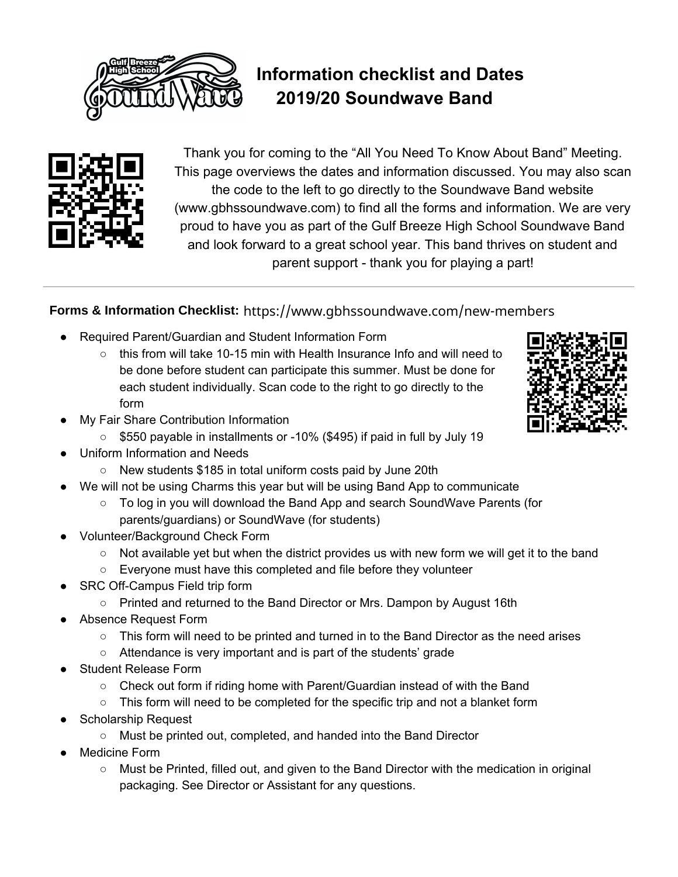

## **Information checklist and Dates 2019/20 Soundwave Band**



Thank you for coming to the "All You Need To Know About Band" Meeting. This page overviews the dates and information discussed. You may also scan the code to the left to go directly to the Soundwave Band website (www.gbhssoundwave.com) to find all the forms and information. We are very proud to have you as part of the Gulf Breeze High School Soundwave Band and look forward to a great school year. This band thrives on student and parent support - thank you for playing a part!

## Forms & Information Checklist: https://www.gbhssoundwave.com/new-members

- Required Parent/Guardian and Student Information Form
	- $\circ$  this from will take 10-15 min with Health Insurance Info and will need to be done before student can participate this summer. Must be done for each student individually. Scan code to the right to go directly to the form
- My Fair Share Contribution Information
	- \$550 payable in installments or -10% (\$495) if paid in full by July 19
- Uniform Information and Needs
	- New students \$185 in total uniform costs paid by June 20th
- We will not be using Charms this year but will be using Band App to communicate
	- To log in you will download the Band App and search SoundWave Parents (for parents/guardians) or SoundWave (for students)
- Volunteer/Background Check Form
	- $\circ$  Not available yet but when the district provides us with new form we will get it to the band
	- Everyone must have this completed and file before they volunteer
- SRC Off-Campus Field trip form
	- Printed and returned to the Band Director or Mrs. Dampon by August 16th
- Absence Request Form
	- This form will need to be printed and turned in to the Band Director as the need arises
	- Attendance is very important and is part of the students' grade
- **Student Release Form** 
	- Check out form if riding home with Parent/Guardian instead of with the Band
	- $\circ$  This form will need to be completed for the specific trip and not a blanket form
- **Scholarship Request** 
	- Must be printed out, completed, and handed into the Band Director
- Medicine Form
	- Must be Printed, filled out, and given to the Band Director with the medication in original packaging. See Director or Assistant for any questions.